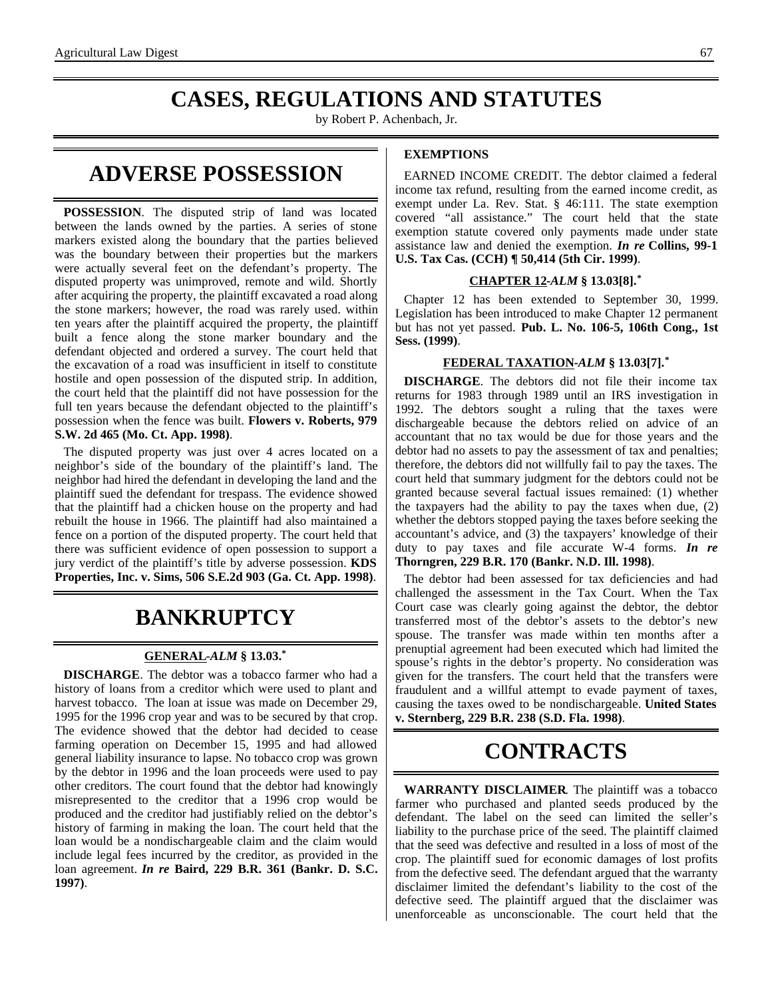# **CASES, REGULATIONS AND STATUTES**

by Robert P. Achenbach, Jr.

# **ADVERSE POSSESSION**

**POSSESSION**. The disputed strip of land was located between the lands owned by the parties. A series of stone markers existed along the boundary that the parties believed was the boundary between their properties but the markers were actually several feet on the defendant's property. The disputed property was unimproved, remote and wild. Shortly after acquiring the property, the plaintiff excavated a road along the stone markers; however, the road was rarely used. within ten years after the plaintiff acquired the property, the plaintiff built a fence along the stone marker boundary and the defendant objected and ordered a survey. The court held that the excavation of a road was insufficient in itself to constitute hostile and open possession of the disputed strip. In addition, the court held that the plaintiff did not have possession for the full ten years because the defendant objected to the plaintiff's possession when the fence was built. **Flowers v. Roberts, 979 S.W. 2d 465 (Mo. Ct. App. 1998)**.

The disputed property was just over 4 acres located on a neighbor's side of the boundary of the plaintiff's land. The neighbor had hired the defendant in developing the land and the plaintiff sued the defendant for trespass. The evidence showed that the plaintiff had a chicken house on the property and had rebuilt the house in 1966. The plaintiff had also maintained a fence on a portion of the disputed property. The court held that there was sufficient evidence of open possession to support a jury verdict of the plaintiff's title by adverse possession. **KDS Properties, Inc. v. Sims, 506 S.E.2d 903 (Ga. Ct. App. 1998)**.

# **BANKRUPTCY**

#### **GENERAL -***ALM* **§ 13.03.\***

**DISCHARGE**. The debtor was a tobacco farmer who had a history of loans from a creditor which were used to plant and harvest tobacco. The loan at issue was made on December 29, 1995 for the 1996 crop year and was to be secured by that crop. The evidence showed that the debtor had decided to cease farming operation on December 15, 1995 and had allowed general liability insurance to lapse. No tobacco crop was grown by the debtor in 1996 and the loan proceeds were used to pay other creditors. The court found that the debtor had knowingly misrepresented to the creditor that a 1996 crop would be produced and the creditor had justifiably relied on the debtor's history of farming in making the loan. The court held that the loan would be a nondischargeable claim and the claim would include legal fees incurred by the creditor, as provided in the loan agreement. *In re* **Baird, 229 B.R. 361 (Bankr. D. S.C. 1997)**.

#### **EXEMPTIONS**

EARNED INCOME CREDIT. The debtor claimed a federal income tax refund, resulting from the earned income credit, as exempt under La. Rev. Stat. § 46:111. The state exemption covered "all assistance." The court held that the state exemption statute covered only payments made under state assistance law and denied the exemption. *In re* **Collins, 99-1 U.S. Tax Cas. (CCH) ¶ 50,414 (5th Cir. 1999)**.

#### **CHAPTER 12 -***ALM* **§ 13.03[8].\***

Chapter 12 has been extended to September 30, 1999. Legislation has been introduced to make Chapter 12 permanent but has not yet passed. **Pub. L. No. 106-5, 106th Cong., 1st Sess. (1999)**.

#### **FEDERAL TAXATION -***ALM* **§ 13.03[7].\***

**DISCHARGE**. The debtors did not file their income tax returns for 1983 through 1989 until an IRS investigation in 1992. The debtors sought a ruling that the taxes were dischargeable because the debtors relied on advice of an accountant that no tax would be due for those years and the debtor had no assets to pay the assessment of tax and penalties; therefore, the debtors did not willfully fail to pay the taxes. The court held that summary judgment for the debtors could not be granted because several factual issues remained: (1) whether the taxpayers had the ability to pay the taxes when due, (2) whether the debtors stopped paying the taxes before seeking the accountant's advice, and (3) the taxpayers' knowledge of their duty to pay taxes and file accurate W-4 forms. *In re* **Thorngren, 229 B.R. 170 (Bankr. N.D. Ill. 1998)**.

The debtor had been assessed for tax deficiencies and had challenged the assessment in the Tax Court. When the Tax Court case was clearly going against the debtor, the debtor transferred most of the debtor's assets to the debtor's new spouse. The transfer was made within ten months after a prenuptial agreement had been executed which had limited the spouse's rights in the debtor's property. No consideration was given for the transfers. The court held that the transfers were fraudulent and a willful attempt to evade payment of taxes, causing the taxes owed to be nondischargeable. **United States v. Sternberg, 229 B.R. 238 (S.D. Fla. 1998)**.

# **CONTRACTS**

**WARRANTY DISCLAIMER**. The plaintiff was a tobacco farmer who purchased and planted seeds produced by the defendant. The label on the seed can limited the seller's liability to the purchase price of the seed. The plaintiff claimed that the seed was defective and resulted in a loss of most of the crop. The plaintiff sued for economic damages of lost profits from the defective seed. The defendant argued that the warranty disclaimer limited the defendant's liability to the cost of the defective seed. The plaintiff argued that the disclaimer was unenforceable as unconscionable. The court held that the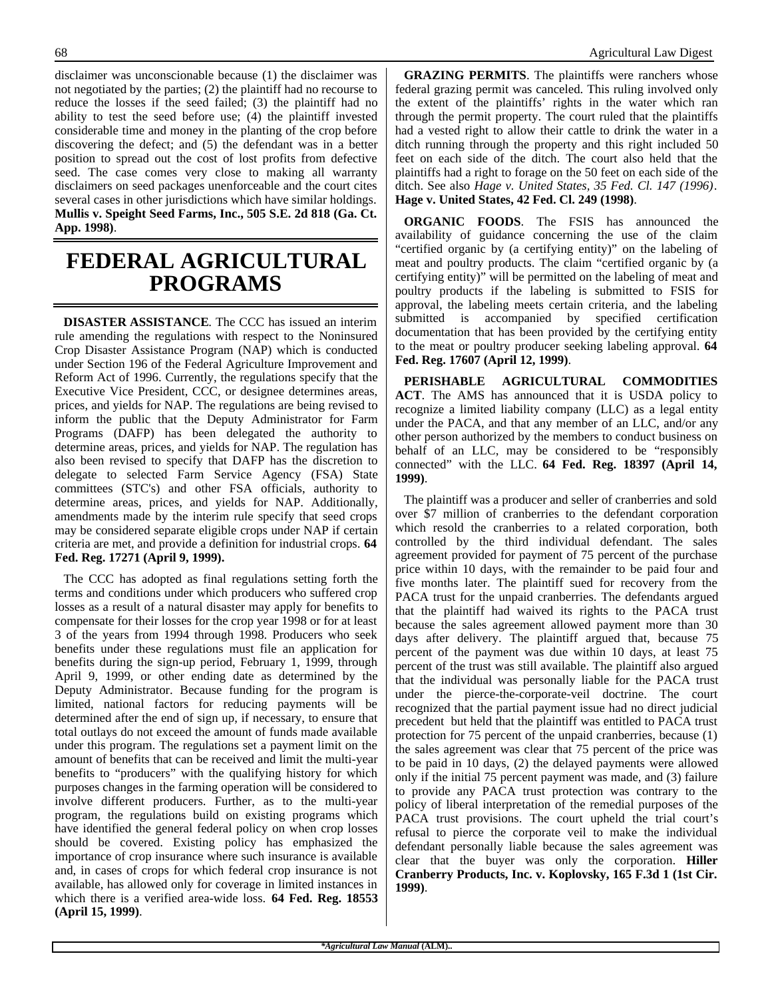disclaimer was unconscionable because (1) the disclaimer was not negotiated by the parties; (2) the plaintiff had no recourse to reduce the losses if the seed failed; (3) the plaintiff had no ability to test the seed before use; (4) the plaintiff invested considerable time and money in the planting of the crop before discovering the defect; and (5) the defendant was in a better position to spread out the cost of lost profits from defective seed. The case comes very close to making all warranty disclaimers on seed packages unenforceable and the court cites several cases in other jurisdictions which have similar holdings. **Mullis v. Speight Seed Farms, Inc., 505 S.E. 2d 818 (Ga. Ct. App. 1998)**.

### **FEDERAL AGRICULTURAL PROGRAMS**

**DISASTER ASSISTANCE**. The CCC has issued an interim rule amending the regulations with respect to the Noninsured Crop Disaster Assistance Program (NAP) which is conducted under Section 196 of the Federal Agriculture Improvement and Reform Act of 1996. Currently, the regulations specify that the Executive Vice President, CCC, or designee determines areas, prices, and yields for NAP. The regulations are being revised to inform the public that the Deputy Administrator for Farm Programs (DAFP) has been delegated the authority to determine areas, prices, and yields for NAP. The regulation has also been revised to specify that DAFP has the discretion to delegate to selected Farm Service Agency (FSA) State committees (STC's) and other FSA officials, authority to determine areas, prices, and yields for NAP. Additionally, amendments made by the interim rule specify that seed crops may be considered separate eligible crops under NAP if certain criteria are met, and provide a definition for industrial crops. **64 Fed. Reg. 17271 (April 9, 1999).**

The CCC has adopted as final regulations setting forth the terms and conditions under which producers who suffered crop losses as a result of a natural disaster may apply for benefits to compensate for their losses for the crop year 1998 or for at least 3 of the years from 1994 through 1998. Producers who seek benefits under these regulations must file an application for benefits during the sign-up period, February 1, 1999, through April 9, 1999, or other ending date as determined by the Deputy Administrator. Because funding for the program is limited, national factors for reducing payments will be determined after the end of sign up, if necessary, to ensure that total outlays do not exceed the amount of funds made available under this program. The regulations set a payment limit on the amount of benefits that can be received and limit the multi-year benefits to "producers" with the qualifying history for which purposes changes in the farming operation will be considered to involve different producers. Further, as to the multi-year program, the regulations build on existing programs which have identified the general federal policy on when crop losses should be covered. Existing policy has emphasized the importance of crop insurance where such insurance is available and, in cases of crops for which federal crop insurance is not available, has allowed only for coverage in limited instances in which there is a verified area-wide loss. **64 Fed. Reg. 18553 (April 15, 1999)**.

**GRAZING PERMITS**. The plaintiffs were ranchers whose federal grazing permit was canceled. This ruling involved only the extent of the plaintiffs' rights in the water which ran through the permit property. The court ruled that the plaintiffs had a vested right to allow their cattle to drink the water in a ditch running through the property and this right included 50 feet on each side of the ditch. The court also held that the plaintiffs had a right to forage on the 50 feet on each side of the ditch. See also *Hage v. United States, 35 Fed. Cl. 147 (1996)*. **Hage v. United States, 42 Fed. Cl. 249 (1998)**.

**ORGANIC FOODS**. The FSIS has announced the availability of guidance concerning the use of the claim "certified organic by (a certifying entity)" on the labeling of meat and poultry products. The claim "certified organic by (a certifying entity)" will be permitted on the labeling of meat and poultry products if the labeling is submitted to FSIS for approval, the labeling meets certain criteria, and the labeling submitted is accompanied by specified certification documentation that has been provided by the certifying entity to the meat or poultry producer seeking labeling approval. **64 Fed. Reg. 17607 (April 12, 1999)**.

**PERISHABLE AGRICULTURAL COMMODITIES ACT**. The AMS has announced that it is USDA policy to recognize a limited liability company (LLC) as a legal entity under the PACA, and that any member of an LLC, and/or any other person authorized by the members to conduct business on behalf of an LLC, may be considered to be "responsibly connected" with the LLC. **64 Fed. Reg. 18397 (April 14, 1999)**.

The plaintiff was a producer and seller of cranberries and sold over \$7 million of cranberries to the defendant corporation which resold the cranberries to a related corporation, both controlled by the third individual defendant. The sales agreement provided for payment of 75 percent of the purchase price within 10 days, with the remainder to be paid four and five months later. The plaintiff sued for recovery from the PACA trust for the unpaid cranberries. The defendants argued that the plaintiff had waived its rights to the PACA trust because the sales agreement allowed payment more than 30 days after delivery. The plaintiff argued that, because 75 percent of the payment was due within 10 days, at least 75 percent of the trust was still available. The plaintiff also argued that the individual was personally liable for the PACA trust under the pierce-the-corporate-veil doctrine. The court recognized that the partial payment issue had no direct judicial precedent but held that the plaintiff was entitled to PACA trust protection for 75 percent of the unpaid cranberries, because (1) the sales agreement was clear that 75 percent of the price was to be paid in 10 days, (2) the delayed payments were allowed only if the initial 75 percent payment was made, and (3) failure to provide any PACA trust protection was contrary to the policy of liberal interpretation of the remedial purposes of the PACA trust provisions. The court upheld the trial court's refusal to pierce the corporate veil to make the individual defendant personally liable because the sales agreement was clear that the buyer was only the corporation. **Hiller Cranberry Products, Inc. v. Koplovsky, 165 F.3d 1 (1st Cir. 1999)**.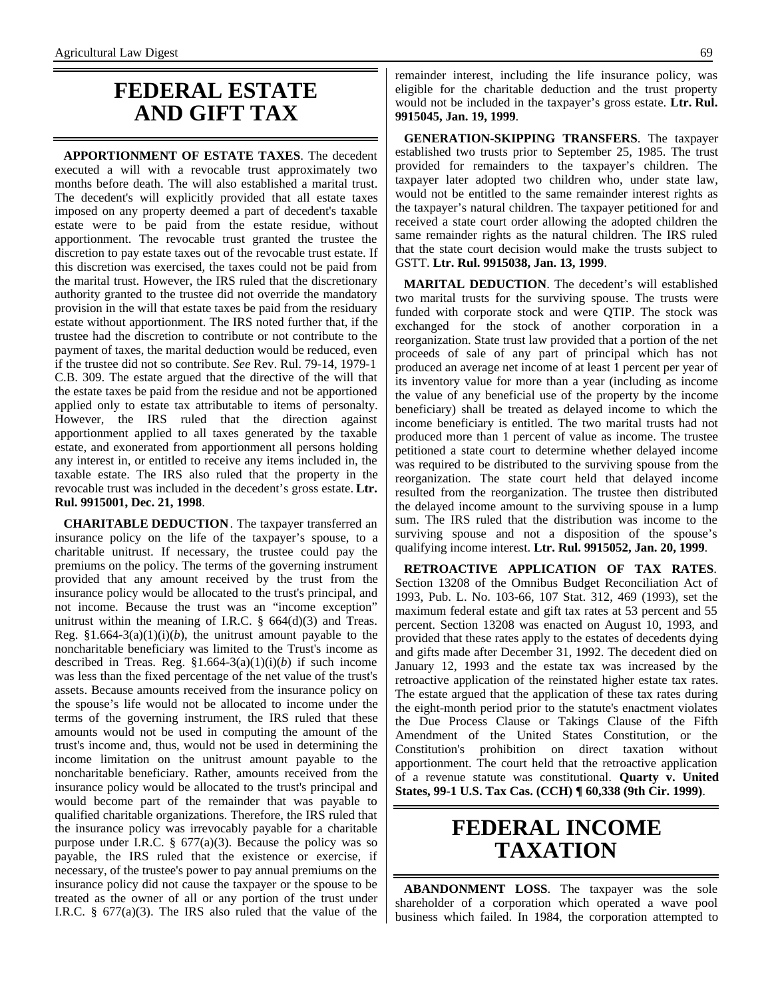### **FEDERAL ESTATE AND GIFT TAX**

**APPORTIONMENT OF ESTATE TAXES**. The decedent executed a will with a revocable trust approximately two months before death. The will also established a marital trust. The decedent's will explicitly provided that all estate taxes imposed on any property deemed a part of decedent's taxable estate were to be paid from the estate residue, without apportionment. The revocable trust granted the trustee the discretion to pay estate taxes out of the revocable trust estate. If this discretion was exercised, the taxes could not be paid from the marital trust. However, the IRS ruled that the discretionary authority granted to the trustee did not override the mandatory provision in the will that estate taxes be paid from the residuary estate without apportionment. The IRS noted further that, if the trustee had the discretion to contribute or not contribute to the payment of taxes, the marital deduction would be reduced, even if the trustee did not so contribute. *See* Rev. Rul. 79-14, 1979-1 C.B. 309. The estate argued that the directive of the will that the estate taxes be paid from the residue and not be apportioned applied only to estate tax attributable to items of personalty. However, the IRS ruled that the direction against apportionment applied to all taxes generated by the taxable estate, and exonerated from apportionment all persons holding any interest in, or entitled to receive any items included in, the taxable estate. The IRS also ruled that the property in the revocable trust was included in the decedent's gross estate. **Ltr. Rul. 9915001, Dec. 21, 1998**.

**CHARITABLE DEDUCTION**. The taxpayer transferred an insurance policy on the life of the taxpayer's spouse, to a charitable unitrust. If necessary, the trustee could pay the premiums on the policy. The terms of the governing instrument provided that any amount received by the trust from the insurance policy would be allocated to the trust's principal, and not income. Because the trust was an "income exception" unitrust within the meaning of I.R.C.  $\S$  664(d)(3) and Treas. Reg.  $$1.664-3(a)(1)(i)(b)$ , the unitrust amount payable to the noncharitable beneficiary was limited to the Trust's income as described in Treas. Reg. §1.664-3(a)(1)(i)(*b*) if such income was less than the fixed percentage of the net value of the trust's assets. Because amounts received from the insurance policy on the spouse's life would not be allocated to income under the terms of the governing instrument, the IRS ruled that these amounts would not be used in computing the amount of the trust's income and, thus, would not be used in determining the income limitation on the unitrust amount payable to the noncharitable beneficiary. Rather, amounts received from the insurance policy would be allocated to the trust's principal and would become part of the remainder that was payable to qualified charitable organizations. Therefore, the IRS ruled that the insurance policy was irrevocably payable for a charitable purpose under I.R.C.  $\S$  677(a)(3). Because the policy was so payable, the IRS ruled that the existence or exercise, if necessary, of the trustee's power to pay annual premiums on the insurance policy did not cause the taxpayer or the spouse to be treated as the owner of all or any portion of the trust under I.R.C. § 677(a)(3). The IRS also ruled that the value of the

remainder interest, including the life insurance policy, was eligible for the charitable deduction and the trust property would not be included in the taxpayer's gross estate. **Ltr. Rul. 9915045, Jan. 19, 1999**.

**GENERATION-SKIPPING TRANSFERS**. The taxpayer established two trusts prior to September 25, 1985. The trust provided for remainders to the taxpayer's children. The taxpayer later adopted two children who, under state law, would not be entitled to the same remainder interest rights as the taxpayer's natural children. The taxpayer petitioned for and received a state court order allowing the adopted children the same remainder rights as the natural children. The IRS ruled that the state court decision would make the trusts subject to GSTT. **Ltr. Rul. 9915038, Jan. 13, 1999**.

**MARITAL DEDUCTION**. The decedent's will established two marital trusts for the surviving spouse. The trusts were funded with corporate stock and were QTIP. The stock was exchanged for the stock of another corporation in a reorganization. State trust law provided that a portion of the net proceeds of sale of any part of principal which has not produced an average net income of at least 1 percent per year of its inventory value for more than a year (including as income the value of any beneficial use of the property by the income beneficiary) shall be treated as delayed income to which the income beneficiary is entitled. The two marital trusts had not produced more than 1 percent of value as income. The trustee petitioned a state court to determine whether delayed income was required to be distributed to the surviving spouse from the reorganization. The state court held that delayed income resulted from the reorganization. The trustee then distributed the delayed income amount to the surviving spouse in a lump sum. The IRS ruled that the distribution was income to the surviving spouse and not a disposition of the spouse's qualifying income interest. **Ltr. Rul. 9915052, Jan. 20, 1999**.

**RETROACTIVE APPLICATION OF TAX RATES**. Section 13208 of the Omnibus Budget Reconciliation Act of 1993, Pub. L. No. 103-66, 107 Stat. 312, 469 (1993), set the maximum federal estate and gift tax rates at 53 percent and 55 percent. Section 13208 was enacted on August 10, 1993, and provided that these rates apply to the estates of decedents dying and gifts made after December 31, 1992. The decedent died on January 12, 1993 and the estate tax was increased by the retroactive application of the reinstated higher estate tax rates. The estate argued that the application of these tax rates during the eight-month period prior to the statute's enactment violates the Due Process Clause or Takings Clause of the Fifth Amendment of the United States Constitution, or the Constitution's prohibition on direct taxation without apportionment. The court held that the retroactive application of a revenue statute was constitutional. **Quarty v. United States, 99-1 U.S. Tax Cas. (CCH) ¶ 60,338 (9th Cir. 1999)**.

### **FEDERAL INCOME TAXATION**

**ABANDONMENT LOSS**. The taxpayer was the sole shareholder of a corporation which operated a wave pool business which failed. In 1984, the corporation attempted to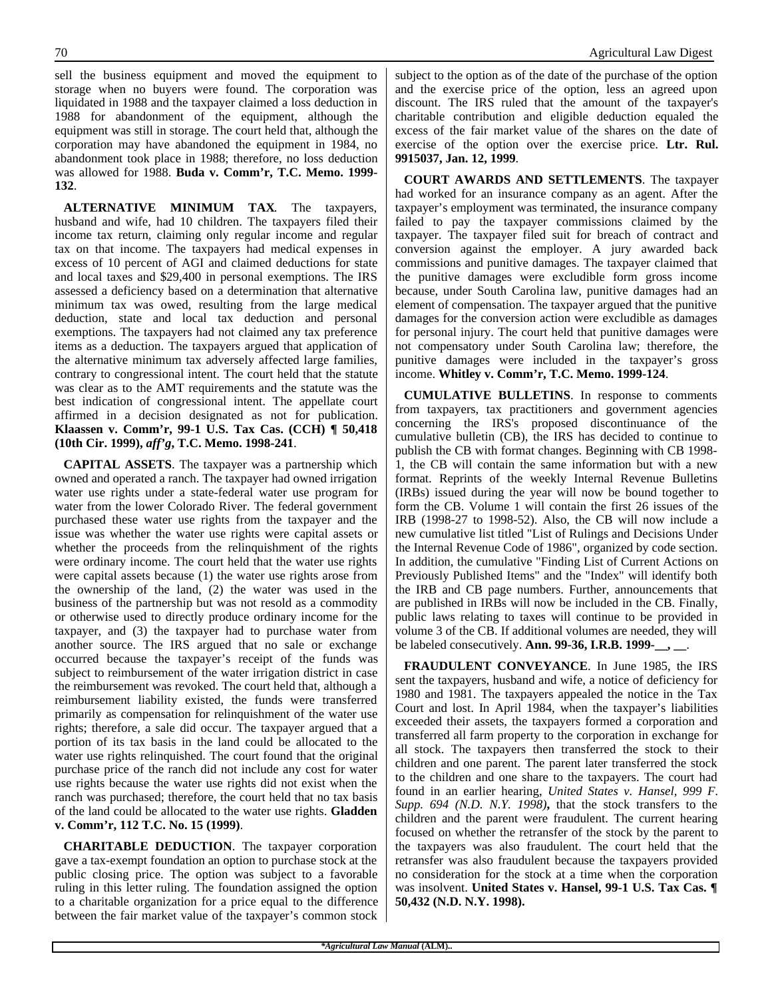sell the business equipment and moved the equipment to storage when no buyers were found. The corporation was liquidated in 1988 and the taxpayer claimed a loss deduction in 1988 for abandonment of the equipment, although the equipment was still in storage. The court held that, although the corporation may have abandoned the equipment in 1984, no abandonment took place in 1988; therefore, no loss deduction was allowed for 1988. **Buda v. Comm'r, T.C. Memo. 1999- 132**.

**ALTERNATIVE MINIMUM TAX**. The taxpayers, husband and wife, had 10 children. The taxpayers filed their income tax return, claiming only regular income and regular tax on that income. The taxpayers had medical expenses in excess of 10 percent of AGI and claimed deductions for state and local taxes and \$29,400 in personal exemptions. The IRS assessed a deficiency based on a determination that alternative minimum tax was owed, resulting from the large medical deduction, state and local tax deduction and personal exemptions. The taxpayers had not claimed any tax preference items as a deduction. The taxpayers argued that application of the alternative minimum tax adversely affected large families, contrary to congressional intent. The court held that the statute was clear as to the AMT requirements and the statute was the best indication of congressional intent. The appellate court affirmed in a decision designated as not for publication. **Klaassen v. Comm'r, 99-1 U.S. Tax Cas. (CCH) ¶ 50,418 (10th Cir. 1999),** *aff'g***, T.C. Memo. 1998-241**.

**CAPITAL ASSETS**. The taxpayer was a partnership which owned and operated a ranch. The taxpayer had owned irrigation water use rights under a state-federal water use program for water from the lower Colorado River. The federal government purchased these water use rights from the taxpayer and the issue was whether the water use rights were capital assets or whether the proceeds from the relinquishment of the rights were ordinary income. The court held that the water use rights were capital assets because (1) the water use rights arose from the ownership of the land, (2) the water was used in the business of the partnership but was not resold as a commodity or otherwise used to directly produce ordinary income for the taxpayer, and (3) the taxpayer had to purchase water from another source. The IRS argued that no sale or exchange occurred because the taxpayer's receipt of the funds was subject to reimbursement of the water irrigation district in case the reimbursement was revoked. The court held that, although a reimbursement liability existed, the funds were transferred primarily as compensation for relinquishment of the water use rights; therefore, a sale did occur. The taxpayer argued that a portion of its tax basis in the land could be allocated to the water use rights relinquished. The court found that the original purchase price of the ranch did not include any cost for water use rights because the water use rights did not exist when the ranch was purchased; therefore, the court held that no tax basis of the land could be allocated to the water use rights. **Gladden v. Comm'r, 112 T.C. No. 15 (1999)**.

**CHARITABLE DEDUCTION**. The taxpayer corporation gave a tax-exempt foundation an option to purchase stock at the public closing price. The option was subject to a favorable ruling in this letter ruling. The foundation assigned the option to a charitable organization for a price equal to the difference between the fair market value of the taxpayer's common stock

subject to the option as of the date of the purchase of the option and the exercise price of the option, less an agreed upon discount. The IRS ruled that the amount of the taxpayer's charitable contribution and eligible deduction equaled the excess of the fair market value of the shares on the date of exercise of the option over the exercise price. **Ltr. Rul. 9915037, Jan. 12, 1999**.

**COURT AWARDS AND SETTLEMENTS**. The taxpayer had worked for an insurance company as an agent. After the taxpayer's employment was terminated, the insurance company failed to pay the taxpayer commissions claimed by the taxpayer. The taxpayer filed suit for breach of contract and conversion against the employer. A jury awarded back commissions and punitive damages. The taxpayer claimed that the punitive damages were excludible form gross income because, under South Carolina law, punitive damages had an element of compensation. The taxpayer argued that the punitive damages for the conversion action were excludible as damages for personal injury. The court held that punitive damages were not compensatory under South Carolina law; therefore, the punitive damages were included in the taxpayer's gross income. **Whitley v. Comm'r, T.C. Memo. 1999-124**.

**CUMULATIVE BULLETINS**. In response to comments from taxpayers, tax practitioners and government agencies concerning the IRS's proposed discontinuance of the cumulative bulletin (CB), the IRS has decided to continue to publish the CB with format changes. Beginning with CB 1998- 1, the CB will contain the same information but with a new format. Reprints of the weekly Internal Revenue Bulletins (IRBs) issued during the year will now be bound together to form the CB. Volume 1 will contain the first 26 issues of the IRB (1998-27 to 1998-52). Also, the CB will now include a new cumulative list titled "List of Rulings and Decisions Under the Internal Revenue Code of 1986", organized by code section. In addition, the cumulative "Finding List of Current Actions on Previously Published Items" and the "Index" will identify both the IRB and CB page numbers. Further, announcements that are published in IRBs will now be included in the CB. Finally, public laws relating to taxes will continue to be provided in volume 3 of the CB. If additional volumes are needed, they will be labeled consecutively. **Ann. 99-36, I.R.B. 1999-\_\_, \_\_**.

**FRAUDULENT CONVEYANCE**. In June 1985, the IRS sent the taxpayers, husband and wife, a notice of deficiency for 1980 and 1981. The taxpayers appealed the notice in the Tax Court and lost. In April 1984, when the taxpayer's liabilities exceeded their assets, the taxpayers formed a corporation and transferred all farm property to the corporation in exchange for all stock. The taxpayers then transferred the stock to their children and one parent. The parent later transferred the stock to the children and one share to the taxpayers. The court had found in an earlier hearing, *United States v. Hansel, 999 F. Supp. 694 (N.D. N.Y. 1998)***,** that the stock transfers to the children and the parent were fraudulent. The current hearing focused on whether the retransfer of the stock by the parent to the taxpayers was also fraudulent. The court held that the retransfer was also fraudulent because the taxpayers provided no consideration for the stock at a time when the corporation was insolvent. **United States v. Hansel, 99-1 U.S. Tax Cas. ¶ 50,432 (N.D. N.Y. 1998).**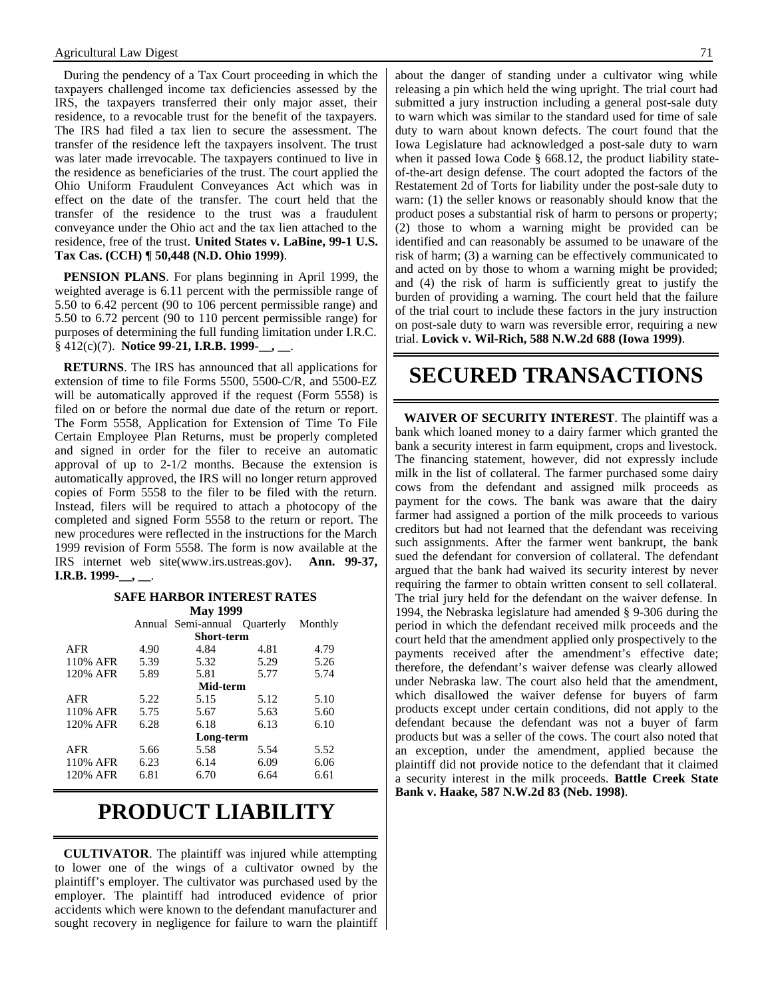During the pendency of a Tax Court proceeding in which the taxpayers challenged income tax deficiencies assessed by the IRS, the taxpayers transferred their only major asset, their residence, to a revocable trust for the benefit of the taxpayers. The IRS had filed a tax lien to secure the assessment. The transfer of the residence left the taxpayers insolvent. The trust was later made irrevocable. The taxpayers continued to live in the residence as beneficiaries of the trust. The court applied the Ohio Uniform Fraudulent Conveyances Act which was in effect on the date of the transfer. The court held that the transfer of the residence to the trust was a fraudulent conveyance under the Ohio act and the tax lien attached to the residence, free of the trust. **United States v. LaBine, 99-1 U.S. Tax Cas. (CCH) ¶ 50,448 (N.D. Ohio 1999)**.

**PENSION PLANS**. For plans beginning in April 1999, the weighted average is 6.11 percent with the permissible range of 5.50 to 6.42 percent (90 to 106 percent permissible range) and 5.50 to 6.72 percent (90 to 110 percent permissible range) for purposes of determining the full funding limitation under I.R.C. § 412(c)(7). **Notice 99-21, I.R.B. 1999-\_\_, \_\_**.

**RETURNS**. The IRS has announced that all applications for extension of time to file Forms 5500, 5500-C/R, and 5500-EZ will be automatically approved if the request (Form 5558) is filed on or before the normal due date of the return or report. The Form 5558, Application for Extension of Time To File Certain Employee Plan Returns, must be properly completed and signed in order for the filer to receive an automatic approval of up to 2-1/2 months. Because the extension is automatically approved, the IRS will no longer return approved copies of Form 5558 to the filer to be filed with the return. Instead, filers will be required to attach a photocopy of the completed and signed Form 5558 to the return or report. The new procedures were reflected in the instructions for the March 1999 revision of Form 5558. The form is now available at the IRS internet web site(www.irs.ustreas.gov). **Ann. 99-37, I.R.B. 1999-\_\_, \_\_**.

### **SAFE HARBOR INTEREST RATES**

|            | <b>May 1999</b> |                              |      |         |
|------------|-----------------|------------------------------|------|---------|
|            |                 | Annual Semi-annual Quarterly |      | Monthly |
| Short-term |                 |                              |      |         |
| AFR        | 4.90            | 4.84                         | 4.81 | 4.79    |
| 110% AFR   | 5.39            | 5.32                         | 5.29 | 5.26    |
| 120% AFR   | 5.89            | 5.81                         | 5.77 | 5.74    |
| Mid-term   |                 |                              |      |         |
| AFR        | 5.22            | 5.15                         | 5.12 | 5.10    |
| 110% AFR   | 5.75            | 5.67                         | 5.63 | 5.60    |
| 120% AFR   | 6.28            | 6.18                         | 6.13 | 6.10    |
| Long-term  |                 |                              |      |         |
| <b>AFR</b> | 5.66            | 5.58                         | 5.54 | 5.52    |
| 110% AFR   | 6.23            | 6.14                         | 6.09 | 6.06    |
| 120% AFR   | 6.81            | 6.70                         | 6.64 | 6.61    |

### **PRODUCT LIABILITY**

**CULTIVATOR**. The plaintiff was injured while attempting to lower one of the wings of a cultivator owned by the plaintiff's employer. The cultivator was purchased used by the employer. The plaintiff had introduced evidence of prior accidents which were known to the defendant manufacturer and sought recovery in negligence for failure to warn the plaintiff

about the danger of standing under a cultivator wing while releasing a pin which held the wing upright. The trial court had submitted a jury instruction including a general post-sale duty to warn which was similar to the standard used for time of sale duty to warn about known defects. The court found that the Iowa Legislature had acknowledged a post-sale duty to warn when it passed Iowa Code § 668.12, the product liability stateof-the-art design defense. The court adopted the factors of the Restatement 2d of Torts for liability under the post-sale duty to warn: (1) the seller knows or reasonably should know that the product poses a substantial risk of harm to persons or property; (2) those to whom a warning might be provided can be identified and can reasonably be assumed to be unaware of the risk of harm; (3) a warning can be effectively communicated to and acted on by those to whom a warning might be provided; and (4) the risk of harm is sufficiently great to justify the burden of providing a warning. The court held that the failure of the trial court to include these factors in the jury instruction on post-sale duty to warn was reversible error, requiring a new trial. **Lovick v. Wil-Rich, 588 N.W.2d 688 (Iowa 1999)**.

### **SECURED TRANSACTIONS**

**WAIVER OF SECURITY INTEREST**. The plaintiff was a bank which loaned money to a dairy farmer which granted the bank a security interest in farm equipment, crops and livestock. The financing statement, however, did not expressly include milk in the list of collateral. The farmer purchased some dairy cows from the defendant and assigned milk proceeds as payment for the cows. The bank was aware that the dairy farmer had assigned a portion of the milk proceeds to various creditors but had not learned that the defendant was receiving such assignments. After the farmer went bankrupt, the bank sued the defendant for conversion of collateral. The defendant argued that the bank had waived its security interest by never requiring the farmer to obtain written consent to sell collateral. The trial jury held for the defendant on the waiver defense. In 1994, the Nebraska legislature had amended § 9-306 during the period in which the defendant received milk proceeds and the court held that the amendment applied only prospectively to the payments received after the amendment's effective date; therefore, the defendant's waiver defense was clearly allowed under Nebraska law. The court also held that the amendment, which disallowed the waiver defense for buyers of farm products except under certain conditions, did not apply to the defendant because the defendant was not a buyer of farm products but was a seller of the cows. The court also noted that an exception, under the amendment, applied because the plaintiff did not provide notice to the defendant that it claimed a security interest in the milk proceeds. **Battle Creek State Bank v. Haake, 587 N.W.2d 83 (Neb. 1998)**.